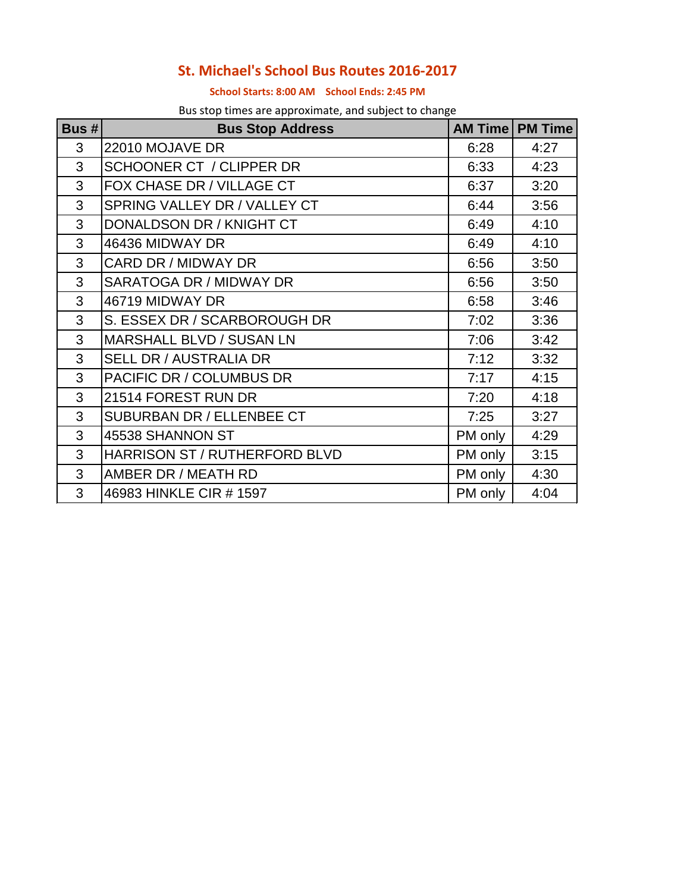## **St. Michael's School Bus Routes 2016-2017**

## **School Starts: 8:00 AM School Ends: 2:45 PM**

Bus stop times are approximate, and subject to change

| Bus# | <b>Bus Stop Address</b>          |         | <b>AM Time   PM Time</b> |
|------|----------------------------------|---------|--------------------------|
| 3    | 22010 MOJAVE DR                  | 6:28    | 4:27                     |
| 3    | <b>SCHOONER CT / CLIPPER DR</b>  | 6:33    | 4:23                     |
| 3    | FOX CHASE DR / VILLAGE CT        | 6:37    | 3:20                     |
| 3    | SPRING VALLEY DR / VALLEY CT     | 6:44    | 3:56                     |
| 3    | DONALDSON DR / KNIGHT CT         | 6:49    | 4:10                     |
| 3    | 46436 MIDWAY DR                  | 6:49    | 4:10                     |
| 3    | CARD DR / MIDWAY DR              | 6:56    | 3:50                     |
| 3    | SARATOGA DR / MIDWAY DR          | 6:56    | 3:50                     |
| 3    | 46719 MIDWAY DR                  | 6:58    | 3:46                     |
| 3    | S. ESSEX DR / SCARBOROUGH DR     | 7:02    | 3:36                     |
| 3    | <b>MARSHALL BLVD / SUSAN LN</b>  | 7:06    | 3:42                     |
| 3    | <b>SELL DR / AUSTRALIA DR</b>    | 7:12    | 3:32                     |
| 3    | PACIFIC DR / COLUMBUS DR         | 7:17    | 4:15                     |
| 3    | 21514 FOREST RUN DR              | 7:20    | 4:18                     |
| 3    | <b>SUBURBAN DR / ELLENBEE CT</b> | 7:25    | 3:27                     |
| 3    | 45538 SHANNON ST                 | PM only | 4:29                     |
| 3    | HARRISON ST / RUTHERFORD BLVD    | PM only | 3:15                     |
| 3    | AMBER DR / MEATH RD              | PM only | 4:30                     |
| 3    | 46983 HINKLE CIR #1597           | PM only | 4:04                     |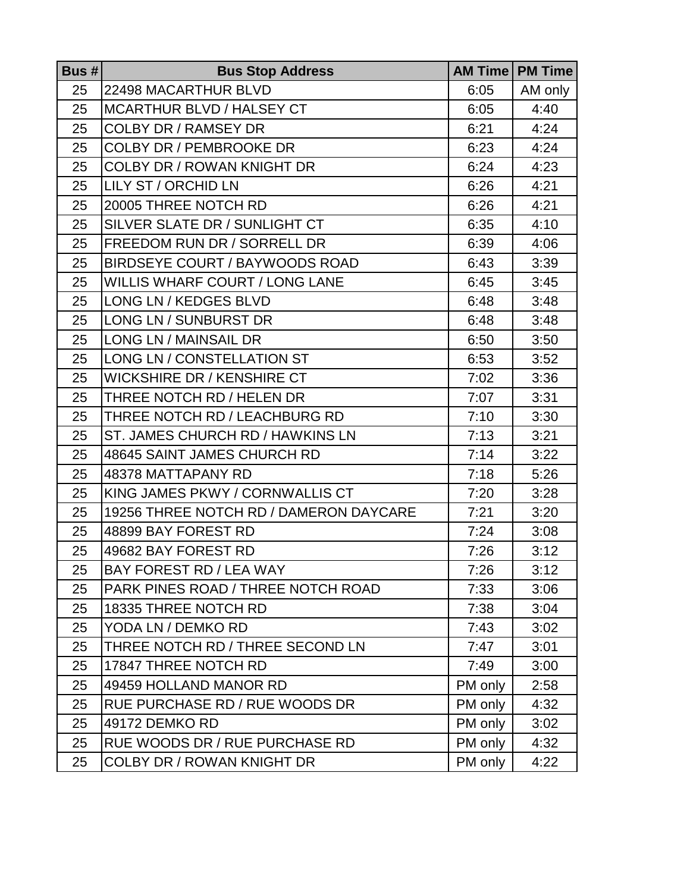| Bus $# $ | <b>Bus Stop Address</b>                |         | <b>AM Time   PM Time</b> |
|----------|----------------------------------------|---------|--------------------------|
| 25       | 22498 MACARTHUR BLVD                   | 6:05    | AM only                  |
| 25       | <b>MCARTHUR BLVD / HALSEY CT</b>       | 6:05    | 4:40                     |
| 25       | <b>COLBY DR / RAMSEY DR</b>            | 6:21    | 4:24                     |
| 25       | <b>COLBY DR / PEMBROOKE DR</b>         | 6:23    | 4:24                     |
| 25       | <b>COLBY DR / ROWAN KNIGHT DR</b>      | 6:24    | 4:23                     |
| 25       | LILY ST / ORCHID LN                    | 6:26    | 4:21                     |
| 25       | 20005 THREE NOTCH RD                   | 6:26    | 4:21                     |
| 25       | SILVER SLATE DR / SUNLIGHT CT          | 6:35    | 4:10                     |
| 25       | FREEDOM RUN DR / SORRELL DR            | 6:39    | 4:06                     |
| 25       | BIRDSEYE COURT / BAYWOODS ROAD         | 6:43    | 3:39                     |
| 25       | WILLIS WHARF COURT / LONG LANE         | 6:45    | 3:45                     |
| 25       | <b>LONG LN / KEDGES BLVD</b>           | 6:48    | 3:48                     |
| 25       | LONG LN / SUNBURST DR                  | 6:48    | 3:48                     |
| 25       | <b>LONG LN / MAINSAIL DR</b>           | 6:50    | 3:50                     |
| 25       | LONG LN / CONSTELLATION ST             | 6:53    | 3:52                     |
| 25       | <b>WICKSHIRE DR / KENSHIRE CT</b>      | 7:02    | 3:36                     |
| 25       | THREE NOTCH RD / HELEN DR              | 7:07    | 3:31                     |
| 25       | THREE NOTCH RD / LEACHBURG RD          | 7:10    | 3:30                     |
| 25       | ST. JAMES CHURCH RD / HAWKINS LN       | 7:13    | 3:21                     |
| 25       | 48645 SAINT JAMES CHURCH RD            | 7:14    | 3:22                     |
| 25       | 48378 MATTAPANY RD                     | 7:18    | 5:26                     |
| 25       | KING JAMES PKWY / CORNWALLIS CT        | 7:20    | 3:28                     |
| 25       | 19256 THREE NOTCH RD / DAMERON DAYCARE | 7:21    | 3:20                     |
| 25       | 48899 BAY FOREST RD                    | 7:24    | 3:08                     |
| 25       | 49682 BAY FOREST RD                    | 7:26    | 3:12                     |
| 25       | BAY FOREST RD / LEA WAY                | 7:26    | 3:12                     |
| 25       | PARK PINES ROAD / THREE NOTCH ROAD     | 7:33    | 3:06                     |
| 25       | 18335 THREE NOTCH RD                   | 7:38    | 3:04                     |
| 25       | YODA LN / DEMKO RD                     | 7:43    | 3:02                     |
| 25       | THREE NOTCH RD / THREE SECOND LN       | 7:47    | 3:01                     |
| 25       | 17847 THREE NOTCH RD                   | 7:49    | 3:00                     |
| 25       | 49459 HOLLAND MANOR RD                 | PM only | 2:58                     |
| 25       | RUE PURCHASE RD / RUE WOODS DR         | PM only | 4:32                     |
| 25       | 49172 DEMKO RD                         | PM only | 3:02                     |
| 25       | RUE WOODS DR / RUE PURCHASE RD         | PM only | 4:32                     |
| 25       | <b>COLBY DR / ROWAN KNIGHT DR</b>      | PM only | 4:22                     |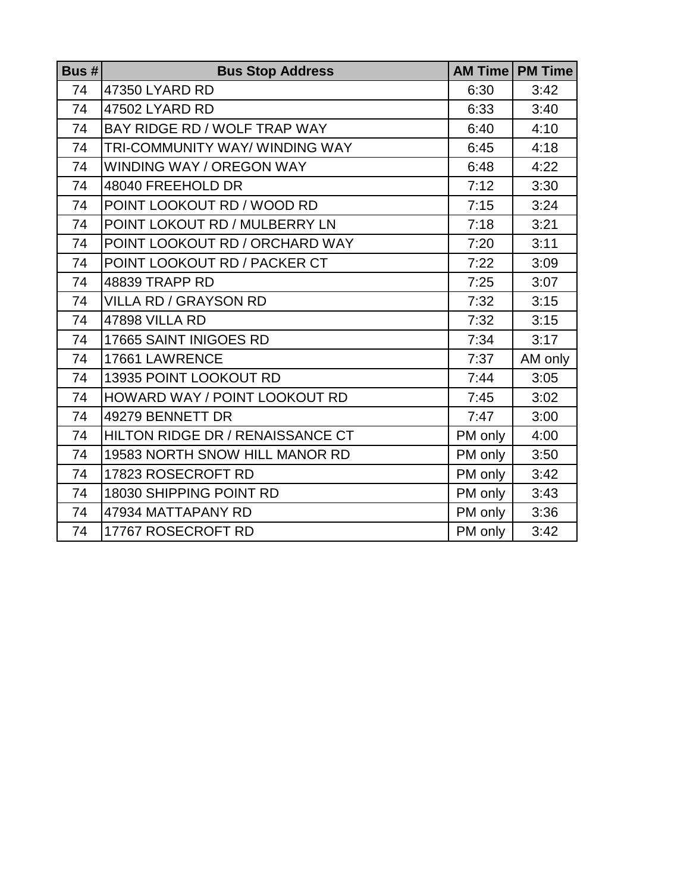| Bus # | <b>Bus Stop Address</b>          |         | <b>AM Time   PM Time</b> |
|-------|----------------------------------|---------|--------------------------|
| 74    | 47350 LYARD RD                   | 6:30    | 3:42                     |
| 74    | 47502 LYARD RD                   | 6:33    | 3:40                     |
| 74    | BAY RIDGE RD / WOLF TRAP WAY     | 6:40    | 4:10                     |
| 74    | TRI-COMMUNITY WAY/WINDING WAY    | 6:45    | 4:18                     |
| 74    | <b>WINDING WAY / OREGON WAY</b>  | 6:48    | 4:22                     |
| 74    | 48040 FREEHOLD DR                | 7:12    | 3:30                     |
| 74    | POINT LOOKOUT RD / WOOD RD       | 7:15    | 3:24                     |
| 74    | POINT LOKOUT RD / MULBERRY LN    | 7:18    | 3:21                     |
| 74    | POINT LOOKOUT RD / ORCHARD WAY   | 7:20    | 3:11                     |
| 74    | POINT LOOKOUT RD / PACKER CT     | 7:22    | 3:09                     |
| 74    | <b>48839 TRAPP RD</b>            | 7:25    | 3:07                     |
| 74    | <b>VILLA RD / GRAYSON RD</b>     | 7:32    | 3:15                     |
| 74    | <b>47898 VILLA RD</b>            | 7:32    | 3:15                     |
| 74    | 17665 SAINT INIGOES RD           | 7:34    | 3:17                     |
| 74    | 17661 LAWRENCE                   | 7:37    | AM only                  |
| 74    | 13935 POINT LOOKOUT RD           | 7:44    | 3:05                     |
| 74    | HOWARD WAY / POINT LOOKOUT RD    | 7:45    | 3:02                     |
| 74    | 49279 BENNETT DR                 | 7:47    | 3:00                     |
| 74    | HILTON RIDGE DR / RENAISSANCE CT | PM only | 4:00                     |
| 74    | 19583 NORTH SNOW HILL MANOR RD   | PM only | 3:50                     |
| 74    | 17823 ROSECROFT RD               | PM only | 3:42                     |
| 74    | 18030 SHIPPING POINT RD          | PM only | 3:43                     |
| 74    | 47934 MATTAPANY RD               | PM only | 3:36                     |
| 74    | 17767 ROSECROFT RD               | PM only | 3:42                     |